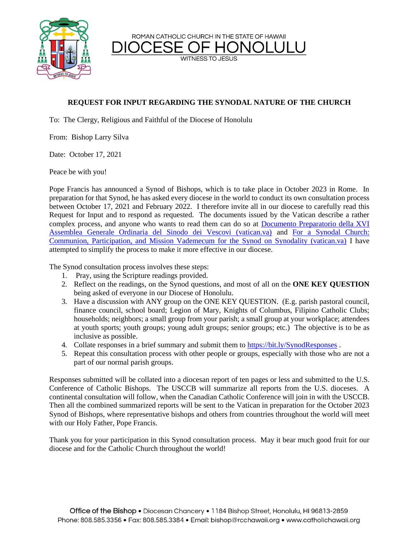ROMAN CATHOLIC CHURCH IN THE STATE OF HAWAII

**WITNESS TO JESUS** 



## **REQUEST FOR INPUT REGARDING THE SYNODAL NATURE OF THE CHURCH**

To: The Clergy, Religious and Faithful of the Diocese of Honolulu

From: Bishop Larry Silva

Date: October 17, 2021

Peace be with you!

Pope Francis has announced a Synod of Bishops, which is to take place in October 2023 in Rome. In preparation for that Synod, he has asked every diocese in the world to conduct its own consultation process between October 17, 2021 and February 2022. I therefore invite all in our diocese to carefully read this Request for Input and to respond as requested. The documents issued by the Vatican describe a rather complex process, and anyone who wants to read them can do so at [Documento Preparatorio della XVI](https://press.vatican.va/content/salastampa/it/bollettino/pubblico/2021/09/07/0540/01156.html#INGLESEOK)  [Assemblea Generale Ordinaria del Sinodo dei Vescovi \(vatican.va\)](https://press.vatican.va/content/salastampa/it/bollettino/pubblico/2021/09/07/0540/01156.html#INGLESEOK) and [For a Synodal Church:](https://press.vatican.va/content/salastampa/it/bollettino/pubblico/2021/09/07/0541/01166.html)  [Communion, Participation, and Mission Vademecum for the Synod on Synodality \(vatican.va\)](https://press.vatican.va/content/salastampa/it/bollettino/pubblico/2021/09/07/0541/01166.html) I have attempted to simplify the process to make it more effective in our diocese.

The Synod consultation process involves these steps:

- 1. Pray, using the Scripture readings provided.
- 2. Reflect on the readings, on the Synod questions, and most of all on the **ONE KEY QUESTION** being asked of everyone in our Diocese of Honolulu.
- 3. Have a discussion with ANY group on the ONE KEY QUESTION. (E.g. parish pastoral council, finance council, school board; Legion of Mary, Knights of Columbus, Filipino Catholic Clubs; households; neighbors; a small group from your parish; a small group at your workplace; attendees at youth sports; youth groups; young adult groups; senior groups; etc.) The objective is to be as inclusive as possible.
- 4. Collate responses in a brief summary and submit them to<https://bit.ly/SynodResponses>.
- 5. Repeat this consultation process with other people or groups, especially with those who are not a part of our normal parish groups.

Responses submitted will be collated into a diocesan report of ten pages or less and submitted to the U.S. Conference of Catholic Bishops. The USCCB will summarize all reports from the U.S. dioceses. A continental consultation will follow, when the Canadian Catholic Conference will join in with the USCCB. Then all the combined summarized reports will be sent to the Vatican in preparation for the October 2023 Synod of Bishops, where representative bishops and others from countries throughout the world will meet with our Holy Father, Pope Francis.

Thank you for your participation in this Synod consultation process. May it bear much good fruit for our diocese and for the Catholic Church throughout the world!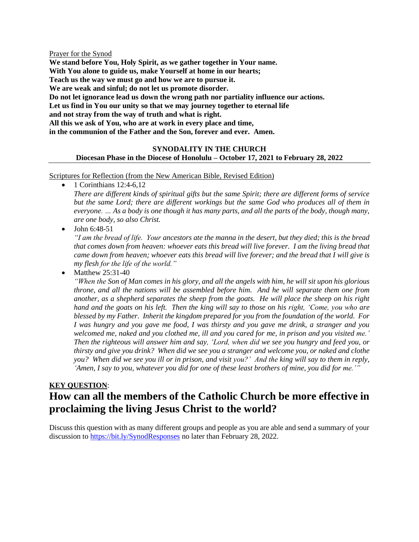#### Prayer for the Synod

**We stand before You, Holy Spirit, as we gather together in Your name. With You alone to guide us, make Yourself at home in our hearts; Teach us the way we must go and how we are to pursue it. We are weak and sinful; do not let us promote disorder. Do not let ignorance lead us down the wrong path nor partiality influence our actions. Let us find in You our unity so that we may journey together to eternal life and not stray from the way of truth and what is right. All this we ask of You, who are at work in every place and time, in the communion of the Father and the Son, forever and ever. Amen.**

## **SYNODALITY IN THE CHURCH Diocesan Phase in the Diocese of Honolulu – October 17, 2021 to February 28, 2022**

#### Scriptures for Reflection (from the New American Bible, Revised Edition)

1 Corinthians 12:4-6,12

*There are different kinds of spiritual gifts but the same Spirit; there are different forms of service but the same Lord; there are different workings but the same God who produces all of them in everyone. … As a body is one though it has many parts, and all the parts of the body, though many, are one body, so also Christ.*

 $\bullet$  John 6:48-51

*"I am the bread of life. Your ancestors ate the manna in the desert, but they died; this is the bread that comes down from heaven: whoever eats this bread will live forever. I am the living bread that came down from heaven; whoever eats this bread will live forever; and the bread that I will give is my flesh for the life of the world."*

Matthew 25:31-40

*"When the Son of Man comes in his glory, and all the angels with him, he will sit upon his glorious throne, and all the nations will be assembled before him. And he will separate them one from another, as a shepherd separates the sheep from the goats. He will place the sheep on his right hand and the goats on his left. Then the king will say to those on his right, 'Come, you who are blessed by my Father. Inherit the kingdom prepared for you from the foundation of the world. For I was hungry and you gave me food, I was thirsty and you gave me drink, a stranger and you welcomed me, naked and you clothed me, ill and you cared for me, in prison and you visited me.' Then the righteous will answer him and say, 'Lord, when did we see you hungry and feed you, or thirsty and give you drink? When did we see you a stranger and welcome you, or naked and clothe you? When did we see you ill or in prison, and visit you?' And the king will say to them in reply, 'Amen, I say to you, whatever you did for one of these least brothers of mine, you did for me.'"*

# **KEY QUESTION**: **How can all the members of the Catholic Church be more effective in proclaiming the living Jesus Christ to the world?**

Discuss this question with as many different groups and people as you are able and send a summary of your discussion to<https://bit.ly/SynodResponses> no later than February 28, 2022.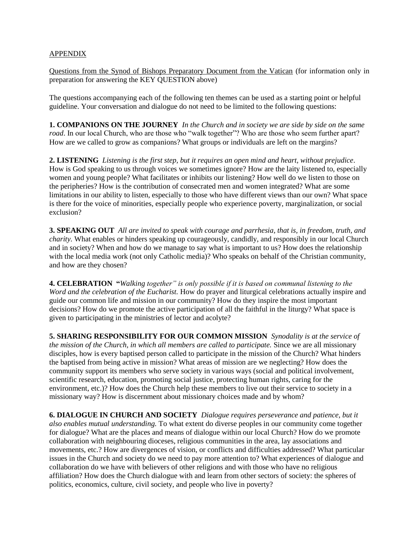## APPENDIX

Questions from the Synod of Bishops Preparatory Document from the Vatican (for information only in preparation for answering the KEY QUESTION above)

The questions accompanying each of the following ten themes can be used as a starting point or helpful guideline. Your conversation and dialogue do not need to be limited to the following questions:

**1. COMPANIONS ON THE JOURNEY** *In the Church and in society we are side by side on the same road*. In our local Church, who are those who "walk together"? Who are those who seem further apart? How are we called to grow as companions? What groups or individuals are left on the margins?

**2. LISTENING** *Listening is the first step, but it requires an open mind and heart, without prejudice*. How is God speaking to us through voices we sometimes ignore? How are the laity listened to, especially women and young people? What facilitates or inhibits our listening? How well do we listen to those on the peripheries? How is the contribution of consecrated men and women integrated? What are some limitations in our ability to listen, especially to those who have different views than our own? What space is there for the voice of minorities, especially people who experience poverty, marginalization, or social exclusion?

**3. SPEAKING OUT** *All are invited to speak with courage and parrhesia, that is, in freedom, truth, and charity*. What enables or hinders speaking up courageously, candidly, and responsibly in our local Church and in society? When and how do we manage to say what is important to us? How does the relationship with the local media work (not only Catholic media)? Who speaks on behalf of the Christian community, and how are they chosen?

**4. CELEBRATION "***Walking together" is only possible if it is based on communal listening to the Word and the celebration of the Eucharist.* How do prayer and liturgical celebrations actually inspire and guide our common life and mission in our community? How do they inspire the most important decisions? How do we promote the active participation of all the faithful in the liturgy? What space is given to participating in the ministries of lector and acolyte?

**5. SHARING RESPONSIBILITY FOR OUR COMMON MISSION** *Synodality is at the service of the mission of the Church, in which all members are called to participate.* Since we are all missionary disciples, how is every baptised person called to participate in the mission of the Church? What hinders the baptised from being active in mission? What areas of mission are we neglecting? How does the community support its members who serve society in various ways (social and political involvement, scientific research, education, promoting social justice, protecting human rights, caring for the environment, etc.)? How does the Church help these members to live out their service to society in a missionary way? How is discernment about missionary choices made and by whom?

**6. DIALOGUE IN CHURCH AND SOCIETY** *Dialogue requires perseverance and patience, but it also enables mutual understanding.* To what extent do diverse peoples in our community come together for dialogue? What are the places and means of dialogue within our local Church? How do we promote collaboration with neighbouring dioceses, religious communities in the area, lay associations and movements, etc.? How are divergences of vision, or conflicts and difficulties addressed? What particular issues in the Church and society do we need to pay more attention to? What experiences of dialogue and collaboration do we have with believers of other religions and with those who have no religious affiliation? How does the Church dialogue with and learn from other sectors of society: the spheres of politics, economics, culture, civil society, and people who live in poverty?